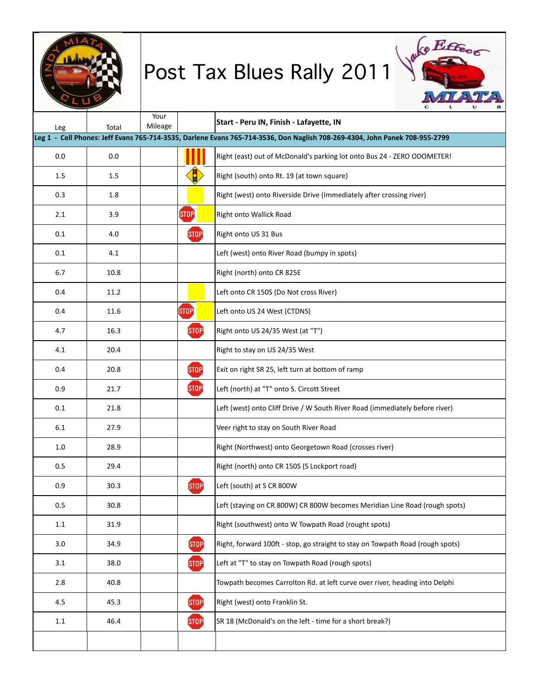















0.0 0.0 Right,(east),out,of,McDonald's,parking,lot,onto,Bus,24,A,ZERO,ODOMETER!  $\langle 1.5 \rangle$ 0.3 1.8 Right,(west),onto,Riverside,Drive,(Immediately,after,crossing,river)

0.4 11.2 Left,onto,CR,150S,(Do,Not,cross,River)

0.4 20.8 Exit,on,right,SR,25,,left,turn,at,bottom,of,ramp  $\langle$ STOP $\rangle$ 

 $\overline{10}$ .006  $\overline{10}$  $\overline{\text{STOP}}$ 

 $\bf(5TOP)$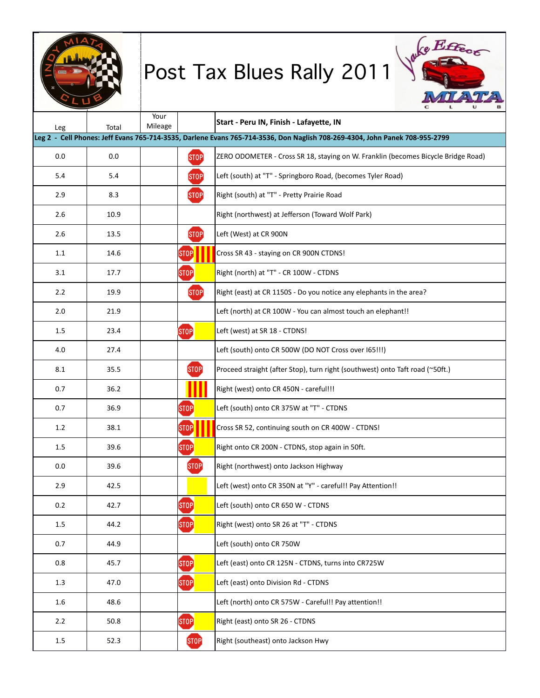



|         | Leg 2 - Cell Phones: Jeff Evans 765-714-3535, Darlene Evans 765-714-3536, Don Naglish 708-269-4304, John Panek 708-955-2799 |                           |                                                                                   |  |  |
|---------|-----------------------------------------------------------------------------------------------------------------------------|---------------------------|-----------------------------------------------------------------------------------|--|--|
| 0.0     | 0.0                                                                                                                         | <b>STOP</b>               | ZERO ODOMETER - Cross SR 18, staying on W. Franklin (becomes Bicycle Bridge Road) |  |  |
| 5.4     | 5.4                                                                                                                         | ST <sub>OP</sub>          | Left (south) at "T" - Springboro Road, (becomes Tyler Road)                       |  |  |
| 2.9     | 8.3                                                                                                                         | <b>STOP</b>               | Right (south) at "T" - Pretty Prairie Road                                        |  |  |
| 2.6     | 10.9                                                                                                                        |                           | Right (northwest) at Jefferson (Toward Wolf Park)                                 |  |  |
| 2.6     | 13.5                                                                                                                        | <b>STOP</b>               | Left (West) at CR 900N                                                            |  |  |
| 1.1     | 14.6                                                                                                                        | [STOP]                    | Cross SR 43 - staying on CR 900N CTDNS!                                           |  |  |
| 3.1     | 17.7                                                                                                                        | [STOP]                    | Right (north) at "T" - CR 100W - CTDNS                                            |  |  |
| 2.2     | 19.9                                                                                                                        | <b>STOP</b>               | Right (east) at CR 1150S - Do you notice any elephants in the area?               |  |  |
| 2.0     | 21.9                                                                                                                        |                           | Left (north) at CR 100W - You can almost touch an elephant!!                      |  |  |
| 1.5     | 23.4                                                                                                                        | [STOP]                    | Left (west) at SR 18 - CTDNS!                                                     |  |  |
| 4.0     | 27.4                                                                                                                        |                           | Left (south) onto CR 500W (DO NOT Cross over 165!!!)                              |  |  |
| 8.1     | 35.5                                                                                                                        | <b>STOP</b>               | Proceed straight (after Stop), turn right (southwest) onto Taft road (~50ft.)     |  |  |
| 0.7     | 36.2                                                                                                                        |                           | Right (west) onto CR 450N - careful!!!                                            |  |  |
| 0.7     | 36.9                                                                                                                        | [STOP]                    | Left (south) onto CR 375W at "T" - CTDNS                                          |  |  |
| 1.2     | 38.1                                                                                                                        | [STOP]                    | Cross SR 52, continuing south on CR 400W - CTDNS!                                 |  |  |
| $1.5\,$ | 39.6                                                                                                                        | $[{\small\texttt{STOP}}]$ | Right onto CR 200N - CTDNS, stop again in 50ft.                                   |  |  |
| 0.0     | 39.6                                                                                                                        | [STOP]                    | Right (northwest) onto Jackson Highway                                            |  |  |
| 2.9     | 42.5                                                                                                                        |                           | Left (west) onto CR 350N at "Y" - careful!! Pay Attention!!                       |  |  |
| 0.2     | 42.7                                                                                                                        | [STOP]                    | Left (south) onto CR 650 W - CTDNS                                                |  |  |
| 1.5     | 44.2                                                                                                                        | [STOP]                    | Right (west) onto SR 26 at "T" - CTDNS                                            |  |  |
| 0.7     | 44.9                                                                                                                        |                           | Left (south) onto CR 750W                                                         |  |  |
| 0.8     | 45.7                                                                                                                        | [STOP]                    | Left (east) onto CR 125N - CTDNS, turns into CR725W                               |  |  |
| 1.3     | 47.0                                                                                                                        | [STOP]                    | Left (east) onto Division Rd - CTDNS                                              |  |  |
| 1.6     | 48.6                                                                                                                        |                           | Left (north) onto CR 575W - Careful!! Pay attention!!                             |  |  |
| 2.2     | 50.8                                                                                                                        | $[$ STOP $]$              | Right (east) onto SR 26 - CTDNS                                                   |  |  |
| $1.5\,$ | 52.3                                                                                                                        | ST <sub>OP</sub>          | Right (southeast) onto Jackson Hwy                                                |  |  |